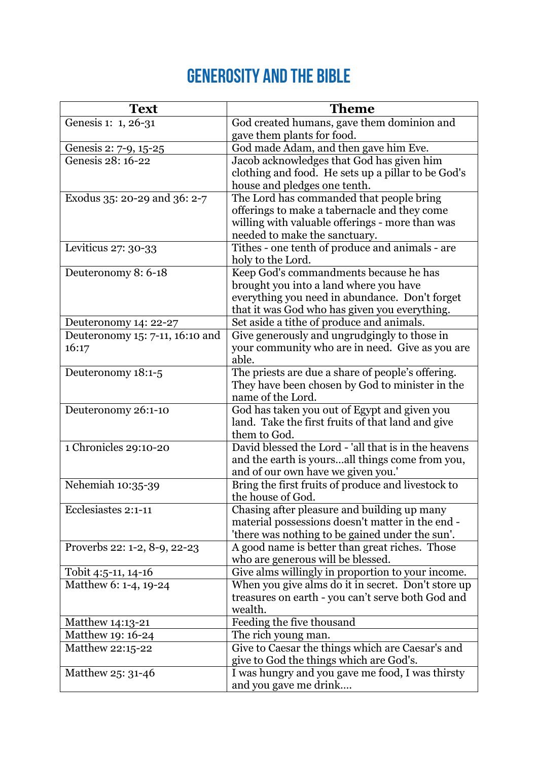## **Generosity and the bible**

| <b>Text</b>                     | <b>Theme</b>                                                                             |
|---------------------------------|------------------------------------------------------------------------------------------|
| Genesis 1: 1, 26-31             | God created humans, gave them dominion and                                               |
|                                 | gave them plants for food.                                                               |
| Genesis 2: 7-9, 15-25           | God made Adam, and then gave him Eve.                                                    |
| Genesis 28: 16-22               | Jacob acknowledges that God has given him                                                |
|                                 | clothing and food. He sets up a pillar to be God's                                       |
|                                 | house and pledges one tenth.                                                             |
| Exodus 35: 20-29 and 36: 2-7    | The Lord has commanded that people bring                                                 |
|                                 | offerings to make a tabernacle and they come                                             |
|                                 | willing with valuable offerings - more than was                                          |
|                                 | needed to make the sanctuary.                                                            |
| Leviticus 27: 30-33             | Tithes - one tenth of produce and animals - are<br>holy to the Lord.                     |
| Deuteronomy 8: 6-18             | Keep God's commandments because he has                                                   |
|                                 | brought you into a land where you have                                                   |
|                                 | everything you need in abundance. Don't forget                                           |
|                                 | that it was God who has given you everything.                                            |
| Deuteronomy 14: 22-27           | Set aside a tithe of produce and animals.                                                |
| Deuteronomy 15: 7-11, 16:10 and | Give generously and ungrudgingly to those in                                             |
| 16:17                           | your community who are in need. Give as you are                                          |
|                                 | able.                                                                                    |
| Deuteronomy 18:1-5              | The priests are due a share of people's offering.                                        |
|                                 | They have been chosen by God to minister in the                                          |
|                                 | name of the Lord.                                                                        |
| Deuteronomy 26:1-10             | God has taken you out of Egypt and given you                                             |
|                                 | land. Take the first fruits of that land and give                                        |
|                                 | them to God.                                                                             |
| 1 Chronicles 29:10-20           | David blessed the Lord - 'all that is in the heavens                                     |
|                                 | and the earth is yoursall things come from you,                                          |
|                                 | and of our own have we given you.'<br>Bring the first fruits of produce and livestock to |
| Nehemiah 10:35-39               | the house of God.                                                                        |
| Ecclesiastes 2:1-11             | Chasing after pleasure and building up many                                              |
|                                 | material possessions doesn't matter in the end -                                         |
|                                 | 'there was nothing to be gained under the sun'.                                          |
| Proverbs 22: 1-2, 8-9, 22-23    | A good name is better than great riches. Those                                           |
|                                 | who are generous will be blessed.                                                        |
| Tobit 4:5-11, 14-16             | Give alms willingly in proportion to your income.                                        |
| Matthew 6: 1-4, 19-24           | When you give alms do it in secret. Don't store up                                       |
|                                 | treasures on earth - you can't serve both God and                                        |
|                                 | wealth.                                                                                  |
| Matthew 14:13-21                | Feeding the five thousand                                                                |
| Matthew 19: 16-24               | The rich young man.                                                                      |
| Matthew 22:15-22                | Give to Caesar the things which are Caesar's and                                         |
|                                 | give to God the things which are God's.                                                  |
| Matthew 25: 31-46               | I was hungry and you gave me food, I was thirsty                                         |
|                                 | and you gave me drink                                                                    |